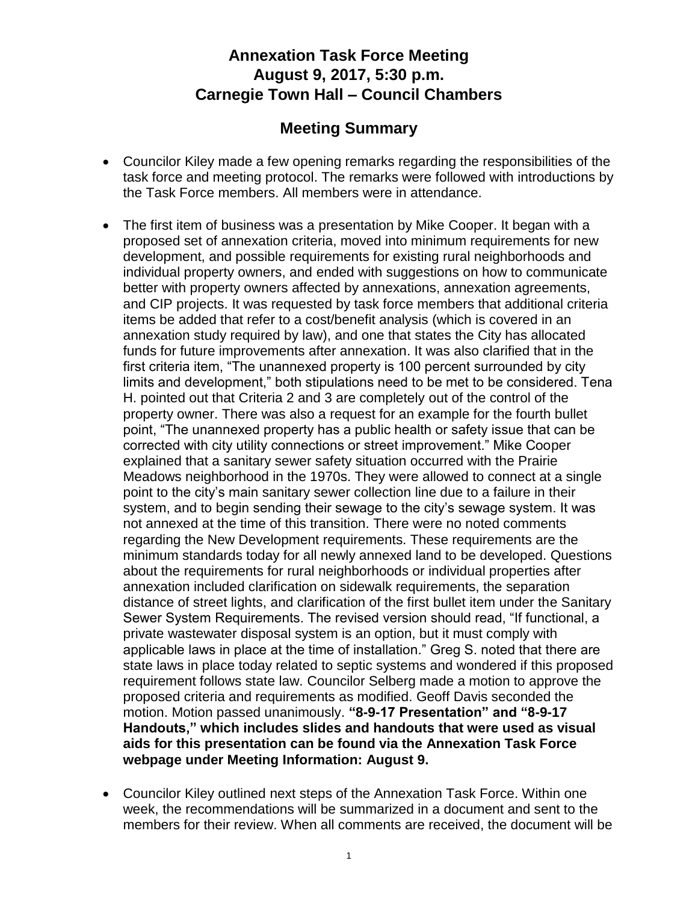## **Annexation Task Force Meeting August 9, 2017, 5:30 p.m. Carnegie Town Hall – Council Chambers**

## **Meeting Summary**

- Councilor Kiley made a few opening remarks regarding the responsibilities of the task force and meeting protocol. The remarks were followed with introductions by the Task Force members. All members were in attendance.
- The first item of business was a presentation by Mike Cooper. It began with a proposed set of annexation criteria, moved into minimum requirements for new development, and possible requirements for existing rural neighborhoods and individual property owners, and ended with suggestions on how to communicate better with property owners affected by annexations, annexation agreements, and CIP projects. It was requested by task force members that additional criteria items be added that refer to a cost/benefit analysis (which is covered in an annexation study required by law), and one that states the City has allocated funds for future improvements after annexation. It was also clarified that in the first criteria item, "The unannexed property is 100 percent surrounded by city limits and development," both stipulations need to be met to be considered. Tena H. pointed out that Criteria 2 and 3 are completely out of the control of the property owner. There was also a request for an example for the fourth bullet point, "The unannexed property has a public health or safety issue that can be corrected with city utility connections or street improvement." Mike Cooper explained that a sanitary sewer safety situation occurred with the Prairie Meadows neighborhood in the 1970s. They were allowed to connect at a single point to the city's main sanitary sewer collection line due to a failure in their system, and to begin sending their sewage to the city's sewage system. It was not annexed at the time of this transition. There were no noted comments regarding the New Development requirements. These requirements are the minimum standards today for all newly annexed land to be developed. Questions about the requirements for rural neighborhoods or individual properties after annexation included clarification on sidewalk requirements, the separation distance of street lights, and clarification of the first bullet item under the Sanitary Sewer System Requirements. The revised version should read, "If functional, a private wastewater disposal system is an option, but it must comply with applicable laws in place at the time of installation." Greg S. noted that there are state laws in place today related to septic systems and wondered if this proposed requirement follows state law. Councilor Selberg made a motion to approve the proposed criteria and requirements as modified. Geoff Davis seconded the motion. Motion passed unanimously. **"8-9-17 Presentation" and "8-9-17 Handouts," which includes slides and handouts that were used as visual aids for this presentation can be found via the Annexation Task Force webpage under Meeting Information: August 9.**
- Councilor Kiley outlined next steps of the Annexation Task Force. Within one week, the recommendations will be summarized in a document and sent to the members for their review. When all comments are received, the document will be